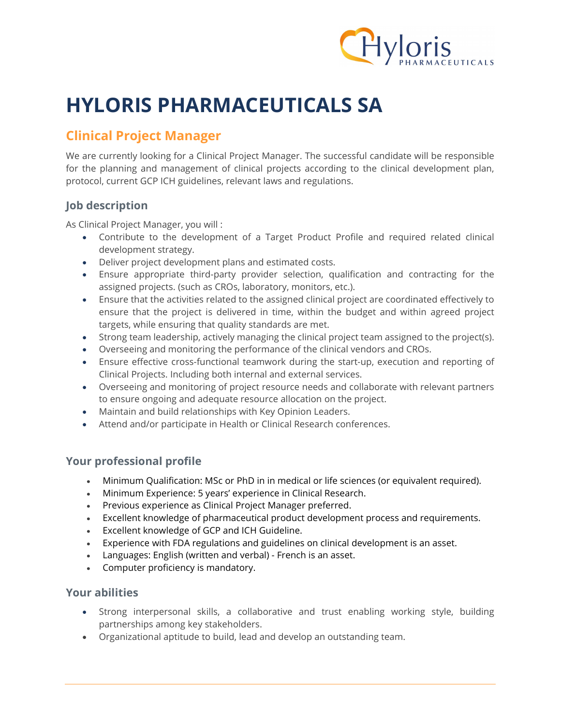

# HYLORIS PHARMACEUTICALS SA

## Clinical Project Manager

We are currently looking for a Clinical Project Manager. The successful candidate will be responsible for the planning and management of clinical projects according to the clinical development plan, protocol, current GCP ICH guidelines, relevant laws and regulations.

#### Job description

As Clinical Project Manager, you will :

- Contribute to the development of a Target Product Profile and required related clinical development strategy.
- Deliver project development plans and estimated costs.
- Ensure appropriate third-party provider selection, qualification and contracting for the assigned projects. (such as CROs, laboratory, monitors, etc.).
- Ensure that the activities related to the assigned clinical project are coordinated effectively to ensure that the project is delivered in time, within the budget and within agreed project targets, while ensuring that quality standards are met.
- Strong team leadership, actively managing the clinical project team assigned to the project(s).
- Overseeing and monitoring the performance of the clinical vendors and CROs.
- Ensure effective cross-functional teamwork during the start-up, execution and reporting of Clinical Projects. Including both internal and external services.
- Overseeing and monitoring of project resource needs and collaborate with relevant partners to ensure ongoing and adequate resource allocation on the project.
- Maintain and build relationships with Key Opinion Leaders.
- Attend and/or participate in Health or Clinical Research conferences.

#### Your professional profile

- Minimum Qualification: MSc or PhD in in medical or life sciences (or equivalent required).
- Minimum Experience: 5 years' experience in Clinical Research.
- Previous experience as Clinical Project Manager preferred.
- Excellent knowledge of pharmaceutical product development process and requirements.
- Excellent knowledge of GCP and ICH Guideline.
- Experience with FDA regulations and guidelines on clinical development is an asset.
- Languages: English (written and verbal) French is an asset.
- Computer proficiency is mandatory.

#### Your abilities

- Strong interpersonal skills, a collaborative and trust enabling working style, building partnerships among key stakeholders.
- Organizational aptitude to build, lead and develop an outstanding team.